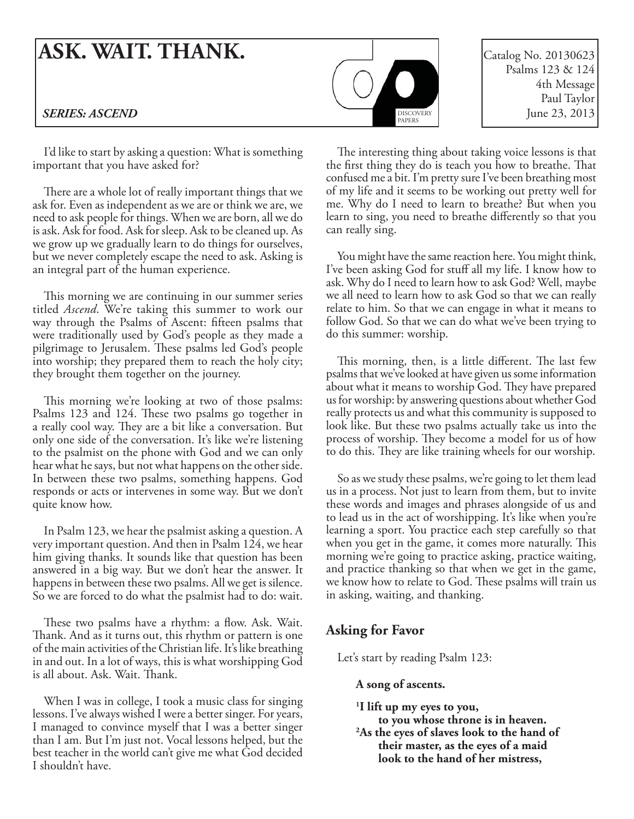# **ASK. WAIT. THANK.** Catalog No. 20130623

DISCOVERY PAPERS **SERIES: ASCEND** June 23, 2013

Psalms 123 & 124 4th Message Paul Taylor

I'd like to start by asking a question: What is something important that you have asked for?

There are a whole lot of really important things that we ask for. Even as independent as we are or think we are, we need to ask people for things. When we are born, all we do is ask. Ask for food. Ask for sleep. Ask to be cleaned up. As we grow up we gradually learn to do things for ourselves, but we never completely escape the need to ask. Asking is an integral part of the human experience.

This morning we are continuing in our summer series titled *Ascend*. We're taking this summer to work our way through the Psalms of Ascent: fifteen psalms that were traditionally used by God's people as they made a pilgrimage to Jerusalem. These psalms led God's people into worship; they prepared them to reach the holy city; they brought them together on the journey.

This morning we're looking at two of those psalms: Psalms 123 and 124. These two psalms go together in a really cool way. They are a bit like a conversation. But only one side of the conversation. It's like we're listening to the psalmist on the phone with God and we can only hear what he says, but not what happens on the other side. In between these two psalms, something happens. God responds or acts or intervenes in some way. But we don't quite know how.

In Psalm 123, we hear the psalmist asking a question. A very important question. And then in Psalm 124, we hear him giving thanks. It sounds like that question has been answered in a big way. But we don't hear the answer. It happens in between these two psalms. All we get is silence. So we are forced to do what the psalmist had to do: wait.

These two psalms have a rhythm: a flow. Ask. Wait. Thank. And as it turns out, this rhythm or pattern is one of the main activities of the Christian life. It's like breathing in and out. In a lot of ways, this is what worshipping God is all about. Ask. Wait. Thank.

When I was in college, I took a music class for singing lessons. I've always wished I were a better singer. For years, I managed to convince myself that I was a better singer than I am. But I'm just not. Vocal lessons helped, but the best teacher in the world can't give me what God decided I shouldn't have.

The interesting thing about taking voice lessons is that the first thing they do is teach you how to breathe. That confused me a bit. I'm pretty sure I've been breathing most of my life and it seems to be working out pretty well for me. Why do I need to learn to breathe? But when you learn to sing, you need to breathe differently so that you can really sing.

You might have the same reaction here. You might think, I've been asking God for stuff all my life. I know how to ask. Why do I need to learn how to ask God? Well, maybe we all need to learn how to ask God so that we can really relate to him. So that we can engage in what it means to follow God. So that we can do what we've been trying to do this summer: worship.

This morning, then, is a little different. The last few psalms that we've looked at have given us some information about what it means to worship God. They have prepared us for worship: by answering questions about whether God really protects us and what this community is supposed to look like. But these two psalms actually take us into the process of worship. They become a model for us of how to do this. They are like training wheels for our worship.

So as we study these psalms, we're going to let them lead us in a process. Not just to learn from them, but to invite these words and images and phrases alongside of us and to lead us in the act of worshipping. It's like when you're learning a sport. You practice each step carefully so that when you get in the game, it comes more naturally. This morning we're going to practice asking, practice waiting, and practice thanking so that when we get in the game, we know how to relate to God. These psalms will train us in asking, waiting, and thanking.

### **Asking for Favor**

Let's start by reading Psalm 123:

**A song of ascents.** 

- **1 I lift up my eyes to you, to you whose throne is in heaven.**
- **2 As the eyes of slaves look to the hand of their master, as the eyes of a maid look to the hand of her mistress,**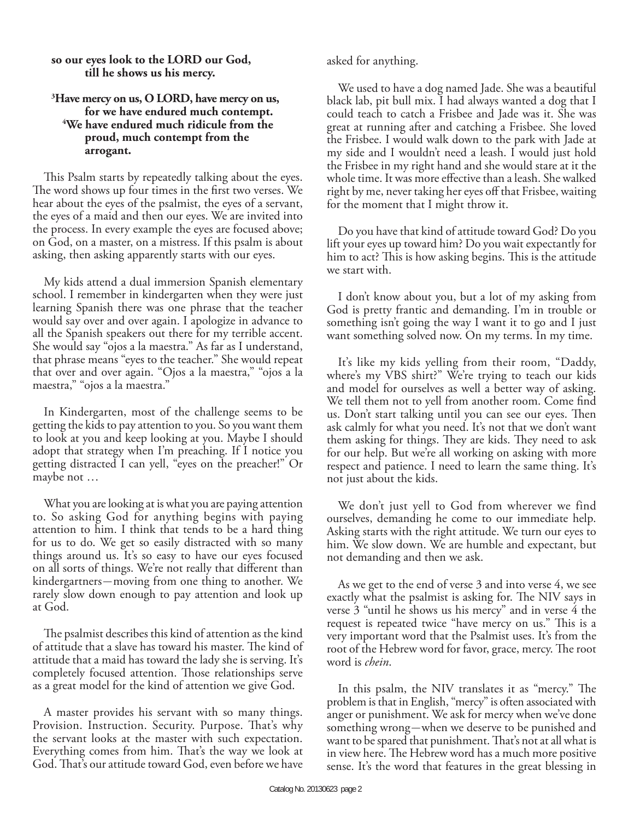#### **so our eyes look to the LORD our God, till he shows us his mercy.**

#### **3 Have mercy on us, O LORD, have mercy on us, for we have endured much contempt. 4 We have endured much ridicule from the proud, much contempt from the arrogant.**

This Psalm starts by repeatedly talking about the eyes. The word shows up four times in the first two verses. We hear about the eyes of the psalmist, the eyes of a servant, the eyes of a maid and then our eyes. We are invited into the process. In every example the eyes are focused above; on God, on a master, on a mistress. If this psalm is about asking, then asking apparently starts with our eyes.

My kids attend a dual immersion Spanish elementary school. I remember in kindergarten when they were just learning Spanish there was one phrase that the teacher would say over and over again. I apologize in advance to all the Spanish speakers out there for my terrible accent. She would say "ojos a la maestra." As far as I understand, that phrase means "eyes to the teacher." She would repeat that over and over again. "Ojos a la maestra," "ojos a la maestra," "ojos a la maestra."

In Kindergarten, most of the challenge seems to be getting the kids to pay attention to you. So you want them to look at you and keep looking at you. Maybe I should adopt that strategy when I'm preaching. If I notice you getting distracted I can yell, "eyes on the preacher!" Or maybe not …

What you are looking at is what you are paying attention to. So asking God for anything begins with paying attention to him. I think that tends to be a hard thing for us to do. We get so easily distracted with so many things around us. It's so easy to have our eyes focused on all sorts of things. We're not really that different than kindergartners—moving from one thing to another. We rarely slow down enough to pay attention and look up at God.

The psalmist describes this kind of attention as the kind of attitude that a slave has toward his master. The kind of attitude that a maid has toward the lady she is serving. It's completely focused attention. Those relationships serve as a great model for the kind of attention we give God.

A master provides his servant with so many things. Provision. Instruction. Security. Purpose. That's why the servant looks at the master with such expectation. Everything comes from him. That's the way we look at God. That's our attitude toward God, even before we have asked for anything.

We used to have a dog named Jade. She was a beautiful black lab, pit bull mix. I had always wanted a dog that I could teach to catch a Frisbee and Jade was it. She was great at running after and catching a Frisbee. She loved the Frisbee. I would walk down to the park with Jade at my side and I wouldn't need a leash. I would just hold the Frisbee in my right hand and she would stare at it the whole time. It was more effective than a leash. She walked right by me, never taking her eyes off that Frisbee, waiting for the moment that I might throw it.

Do you have that kind of attitude toward God? Do you lift your eyes up toward him? Do you wait expectantly for him to act? This is how asking begins. This is the attitude we start with.

I don't know about you, but a lot of my asking from God is pretty frantic and demanding. I'm in trouble or something isn't going the way I want it to go and I just want something solved now. On my terms. In my time.

It's like my kids yelling from their room, "Daddy, where's my VBS shirt?" We're trying to teach our kids and model for ourselves as well a better way of asking. We tell them not to yell from another room. Come find us. Don't start talking until you can see our eyes. Then ask calmly for what you need. It's not that we don't want them asking for things. They are kids. They need to ask for our help. But we're all working on asking with more respect and patience. I need to learn the same thing. It's not just about the kids.

We don't just yell to God from wherever we find ourselves, demanding he come to our immediate help. Asking starts with the right attitude. We turn our eyes to him. We slow down. We are humble and expectant, but not demanding and then we ask.

As we get to the end of verse 3 and into verse 4, we see exactly what the psalmist is asking for. The NIV says in verse 3 "until he shows us his mercy" and in verse 4 the request is repeated twice "have mercy on us." This is a very important word that the Psalmist uses. It's from the root of the Hebrew word for favor, grace, mercy. The root word is *chein*.

In this psalm, the NIV translates it as "mercy." The problem is that in English, "mercy" is often associated with anger or punishment. We ask for mercy when we've done something wrong—when we deserve to be punished and want to be spared that punishment. That's not at all what is in view here. The Hebrew word has a much more positive sense. It's the word that features in the great blessing in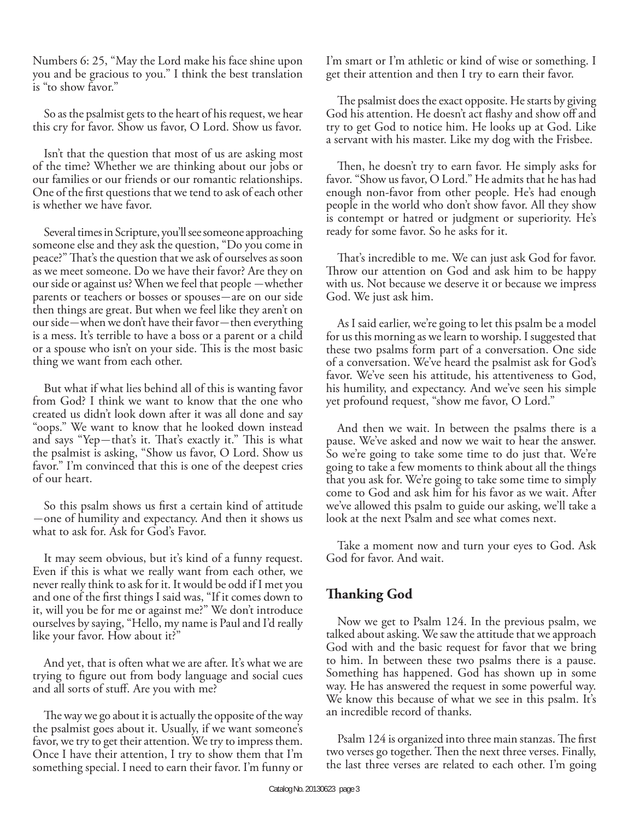Numbers 6: 25, "May the Lord make his face shine upon you and be gracious to you." I think the best translation is "to show favor."

So as the psalmist gets to the heart of his request, we hear this cry for favor. Show us favor, O Lord. Show us favor.

Isn't that the question that most of us are asking most of the time? Whether we are thinking about our jobs or our families or our friends or our romantic relationships. One of the first questions that we tend to ask of each other is whether we have favor.

Several times in Scripture, you'll see someone approaching someone else and they ask the question, "Do you come in peace?" That's the question that we ask of ourselves as soon as we meet someone. Do we have their favor? Are they on our side or against us? When we feel that people —whether parents or teachers or bosses or spouses—are on our side then things are great. But when we feel like they aren't on our side—when we don't have their favor—then everything is a mess. It's terrible to have a boss or a parent or a child or a spouse who isn't on your side. This is the most basic thing we want from each other.

But what if what lies behind all of this is wanting favor from God? I think we want to know that the one who created us didn't look down after it was all done and say "oops." We want to know that he looked down instead and says "Yep-that's it. That's exactly it." This is what the psalmist is asking, "Show us favor, O Lord. Show us favor." I'm convinced that this is one of the deepest cries of our heart.

So this psalm shows us first a certain kind of attitude —one of humility and expectancy. And then it shows us what to ask for. Ask for God's Favor.

It may seem obvious, but it's kind of a funny request. Even if this is what we really want from each other, we never really think to ask for it. It would be odd if I met you and one of the first things I said was, "If it comes down to it, will you be for me or against me?" We don't introduce ourselves by saying, "Hello, my name is Paul and I'd really like your favor. How about it?"

And yet, that is often what we are after. It's what we are trying to figure out from body language and social cues and all sorts of stuff. Are you with me?

The way we go about it is actually the opposite of the way the psalmist goes about it. Usually, if we want someone's favor, we try to get their attention. We try to impress them. Once I have their attention, I try to show them that I'm something special. I need to earn their favor. I'm funny or I'm smart or I'm athletic or kind of wise or something. I get their attention and then I try to earn their favor.

The psalmist does the exact opposite. He starts by giving God his attention. He doesn't act flashy and show off and try to get God to notice him. He looks up at God. Like a servant with his master. Like my dog with the Frisbee.

Then, he doesn't try to earn favor. He simply asks for favor. "Show us favor, O Lord." He admits that he has had enough non-favor from other people. He's had enough people in the world who don't show favor. All they show is contempt or hatred or judgment or superiority. He's ready for some favor. So he asks for it.

That's incredible to me. We can just ask God for favor. Throw our attention on God and ask him to be happy with us. Not because we deserve it or because we impress God. We just ask him.

As I said earlier, we're going to let this psalm be a model for us this morning as we learn to worship. I suggested that these two psalms form part of a conversation. One side of a conversation. We've heard the psalmist ask for God's favor. We've seen his attitude, his attentiveness to God, his humility, and expectancy. And we've seen his simple yet profound request, "show me favor, O Lord."

And then we wait. In between the psalms there is a pause. We've asked and now we wait to hear the answer. So we're going to take some time to do just that. We're going to take a few moments to think about all the things that you ask for. We're going to take some time to simply come to God and ask him for his favor as we wait. After we've allowed this psalm to guide our asking, we'll take a look at the next Psalm and see what comes next.

Take a moment now and turn your eyes to God. Ask God for favor. And wait.

## **Th anking God**

Now we get to Psalm 124. In the previous psalm, we talked about asking. We saw the attitude that we approach God with and the basic request for favor that we bring to him. In between these two psalms there is a pause. Something has happened. God has shown up in some way. He has answered the request in some powerful way. We know this because of what we see in this psalm. It's an incredible record of thanks.

Psalm 124 is organized into three main stanzas. The first two verses go together. Then the next three verses. Finally, the last three verses are related to each other. I'm going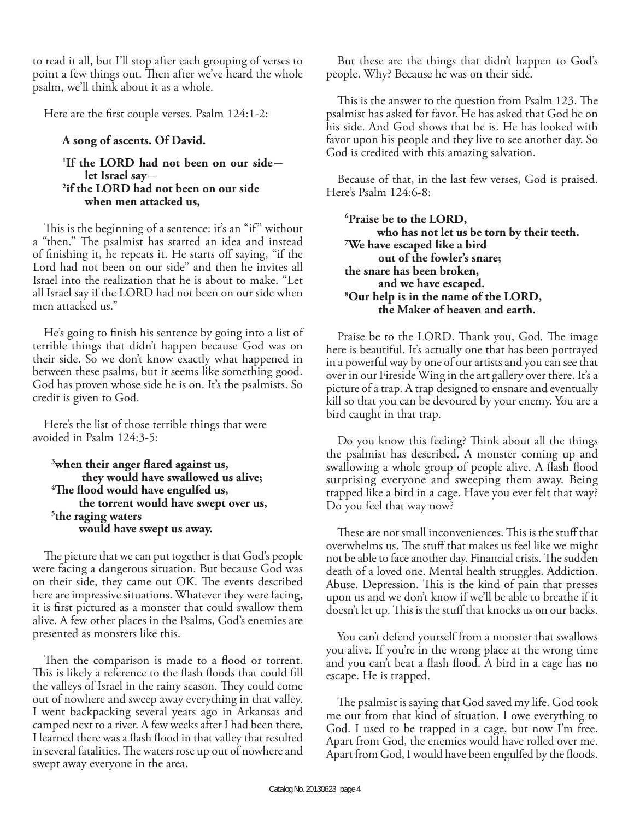to read it all, but I'll stop after each grouping of verses to point a few things out. Then after we've heard the whole psalm, we'll think about it as a whole.

Here are the first couple verses. Psalm  $124:1-2$ :

#### **A song of ascents. Of David.**

#### **1 If the LORD had not been on our side let Israel say**— **2 if the LORD had not been on our side when men attacked us,**

This is the beginning of a sentence: it's an "if" without a "then." The psalmist has started an idea and instead of finishing it, he repeats it. He starts off saying, "if the Lord had not been on our side" and then he invites all Israel into the realization that he is about to make. "Let all Israel say if the LORD had not been on our side when men attacked us."

He's going to finish his sentence by going into a list of terrible things that didn't happen because God was on their side. So we don't know exactly what happened in between these psalms, but it seems like something good. God has proven whose side he is on. It's the psalmists. So credit is given to God.

Here's the list of those terrible things that were avoided in Psalm 124:3-5:

<sup>3</sup>when their anger flared against us,  **they would have swallowed us alive;**  <sup>4</sup>The flood would have engulfed us,  **the torrent would have swept over us, 5 the raging waters would have swept us away.**

The picture that we can put together is that God's people were facing a dangerous situation. But because God was on their side, they came out OK. The events described here are impressive situations. Whatever they were facing, it is first pictured as a monster that could swallow them alive. A few other places in the Psalms, God's enemies are presented as monsters like this.

Then the comparison is made to a flood or torrent. This is likely a reference to the flash floods that could fill the valleys of Israel in the rainy season. They could come out of nowhere and sweep away everything in that valley. I went backpacking several years ago in Arkansas and camped next to a river. A few weeks after I had been there, I learned there was a flash flood in that valley that resulted in several fatalities. The waters rose up out of nowhere and swept away everyone in the area.

But these are the things that didn't happen to God's people. Why? Because he was on their side.

This is the answer to the question from Psalm 123. The psalmist has asked for favor. He has asked that God he on his side. And God shows that he is. He has looked with favor upon his people and they live to see another day. So God is credited with this amazing salvation.

Because of that, in the last few verses, God is praised. Here's Psalm 124:6-8:

**6 Praise be to the LORD, who has not let us be torn by their teeth. 7 We have escaped like a bird out of the fowler's snare; the snare has been broken, and we have escaped. 8 Our help is in the name of the LORD, the Maker of heaven and earth.**

Praise be to the LORD. Thank you, God. The image here is beautiful. It's actually one that has been portrayed in a powerful way by one of our artists and you can see that over in our Fireside Wing in the art gallery over there. It's a picture of a trap. A trap designed to ensnare and eventually kill so that you can be devoured by your enemy. You are a bird caught in that trap.

Do you know this feeling? Think about all the things the psalmist has described. A monster coming up and swallowing a whole group of people alive. A flash flood surprising everyone and sweeping them away. Being trapped like a bird in a cage. Have you ever felt that way? Do you feel that way now?

These are not small inconveniences. This is the stuff that overwhelms us. The stuff that makes us feel like we might not be able to face another day. Financial crisis. The sudden death of a loved one. Mental health struggles. Addiction. Abuse. Depression. This is the kind of pain that presses upon us and we don't know if we'll be able to breathe if it doesn't let up. This is the stuff that knocks us on our backs.

You can't defend yourself from a monster that swallows you alive. If you're in the wrong place at the wrong time and you can't beat a flash flood. A bird in a cage has no escape. He is trapped.

The psalmist is saying that God saved my life. God took me out from that kind of situation. I owe everything to God. I used to be trapped in a cage, but now I'm free. Apart from God, the enemies would have rolled over me. Apart from God, I would have been engulfed by the floods.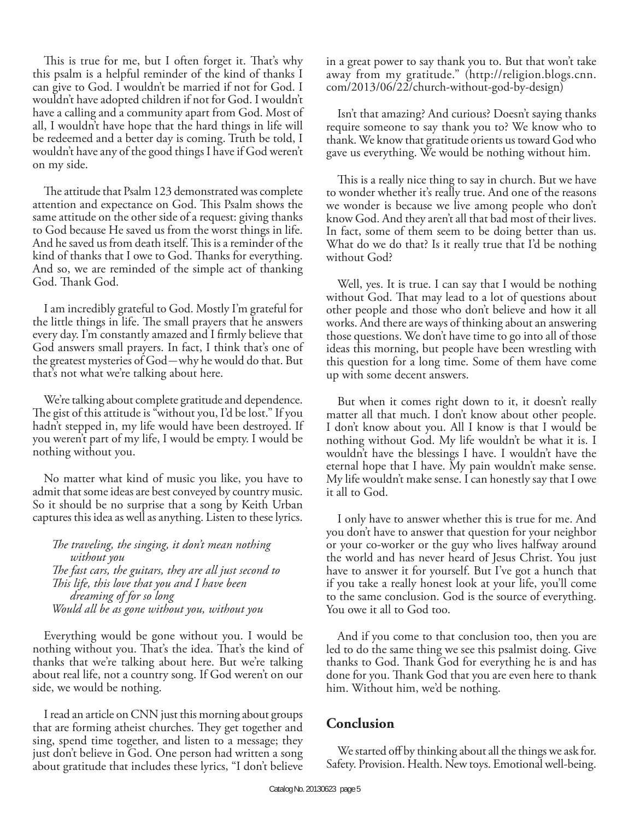This is true for me, but I often forget it. That's why this psalm is a helpful reminder of the kind of thanks I can give to God. I wouldn't be married if not for God. I wouldn't have adopted children if not for God. I wouldn't have a calling and a community apart from God. Most of all, I wouldn't have hope that the hard things in life will be redeemed and a better day is coming. Truth be told, I wouldn't have any of the good things I have if God weren't on my side.

The attitude that Psalm 123 demonstrated was complete attention and expectance on God. This Psalm shows the same attitude on the other side of a request: giving thanks to God because He saved us from the worst things in life. And he saved us from death itself. This is a reminder of the kind of thanks that I owe to God. Thanks for everything. And so, we are reminded of the simple act of thanking God. Thank God.

I am incredibly grateful to God. Mostly I'm grateful for the little things in life. The small prayers that he answers every day. I'm constantly amazed and I firmly believe that God answers small prayers. In fact, I think that's one of the greatest mysteries of God—why he would do that. But that's not what we're talking about here.

We're talking about complete gratitude and dependence. The gist of this attitude is "without you, I'd be lost." If you hadn't stepped in, my life would have been destroyed. If you weren't part of my life, I would be empty. I would be nothing without you.

No matter what kind of music you like, you have to admit that some ideas are best conveyed by country music. So it should be no surprise that a song by Keith Urban captures this idea as well as anything. Listen to these lyrics.

*Th e traveling, the singing, it don't mean nothing without you* The fast cars, the guitars, they are all just second to *Th is life, this love that you and I have been dreaming of for so long Would all be as gone without you, without you*

Everything would be gone without you. I would be nothing without you. That's the idea. That's the kind of thanks that we're talking about here. But we're talking about real life, not a country song. If God weren't on our side, we would be nothing.

I read an article on CNN just this morning about groups that are forming atheist churches. They get together and sing, spend time together, and listen to a message; they just don't believe in God. One person had written a song about gratitude that includes these lyrics, "I don't believe in a great power to say thank you to. But that won't take away from my gratitude." (http://religion.blogs.cnn. com/2013/06/22/church-without-god-by-design)

Isn't that amazing? And curious? Doesn't saying thanks require someone to say thank you to? We know who to thank. We know that gratitude orients us toward God who gave us everything. We would be nothing without him.

This is a really nice thing to say in church. But we have to wonder whether it's really true. And one of the reasons we wonder is because we live among people who don't know God. And they aren't all that bad most of their lives. In fact, some of them seem to be doing better than us. What do we do that? Is it really true that I'd be nothing without God?

Well, yes. It is true. I can say that I would be nothing without God. That may lead to a lot of questions about other people and those who don't believe and how it all works. And there are ways of thinking about an answering those questions. We don't have time to go into all of those ideas this morning, but people have been wrestling with this question for a long time. Some of them have come up with some decent answers.

But when it comes right down to it, it doesn't really matter all that much. I don't know about other people. I don't know about you. All I know is that I would be nothing without God. My life wouldn't be what it is. I wouldn't have the blessings I have. I wouldn't have the eternal hope that I have. My pain wouldn't make sense. My life wouldn't make sense. I can honestly say that I owe it all to God.

I only have to answer whether this is true for me. And you don't have to answer that question for your neighbor or your co-worker or the guy who lives halfway around the world and has never heard of Jesus Christ. You just have to answer it for yourself. But I've got a hunch that if you take a really honest look at your life, you'll come to the same conclusion. God is the source of everything. You owe it all to God too.

And if you come to that conclusion too, then you are led to do the same thing we see this psalmist doing. Give thanks to God. Thank God for everything he is and has done for you. Thank God that you are even here to thank him. Without him, we'd be nothing.

### **Conclusion**

We started off by thinking about all the things we ask for. Safety. Provision. Health. New toys. Emotional well-being.